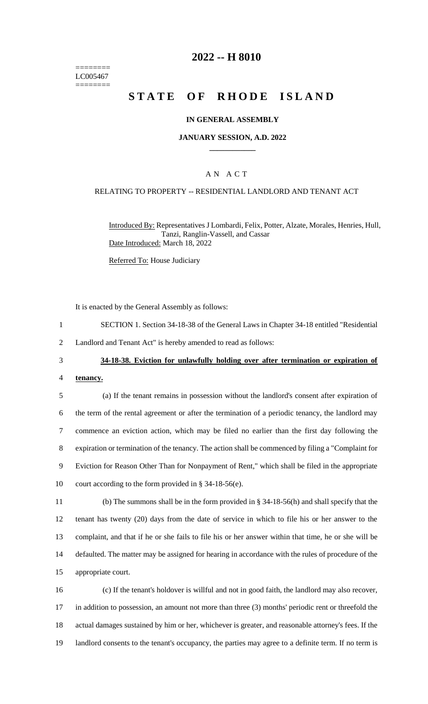======== LC005467 ========

### **2022 -- H 8010**

# **STATE OF RHODE ISLAND**

#### **IN GENERAL ASSEMBLY**

#### **JANUARY SESSION, A.D. 2022 \_\_\_\_\_\_\_\_\_\_\_\_**

### A N A C T

#### RELATING TO PROPERTY -- RESIDENTIAL LANDLORD AND TENANT ACT

Introduced By: Representatives J Lombardi, Felix, Potter, Alzate, Morales, Henries, Hull, Tanzi, Ranglin-Vassell, and Cassar Date Introduced: March 18, 2022

Referred To: House Judiciary

It is enacted by the General Assembly as follows:

- 1 SECTION 1. Section 34-18-38 of the General Laws in Chapter 34-18 entitled "Residential
- 2 Landlord and Tenant Act" is hereby amended to read as follows:

#### 3 **34-18-38. Eviction for unlawfully holding over after termination or expiration of**

4 **tenancy.**

 (a) If the tenant remains in possession without the landlord's consent after expiration of the term of the rental agreement or after the termination of a periodic tenancy, the landlord may commence an eviction action, which may be filed no earlier than the first day following the expiration or termination of the tenancy. The action shall be commenced by filing a "Complaint for Eviction for Reason Other Than for Nonpayment of Rent," which shall be filed in the appropriate court according to the form provided in § 34-18-56(e).

 (b) The summons shall be in the form provided in § 34-18-56(h) and shall specify that the tenant has twenty (20) days from the date of service in which to file his or her answer to the complaint, and that if he or she fails to file his or her answer within that time, he or she will be defaulted. The matter may be assigned for hearing in accordance with the rules of procedure of the appropriate court.

 (c) If the tenant's holdover is willful and not in good faith, the landlord may also recover, in addition to possession, an amount not more than three (3) months' periodic rent or threefold the actual damages sustained by him or her, whichever is greater, and reasonable attorney's fees. If the 19 landlord consents to the tenant's occupancy, the parties may agree to a definite term. If no term is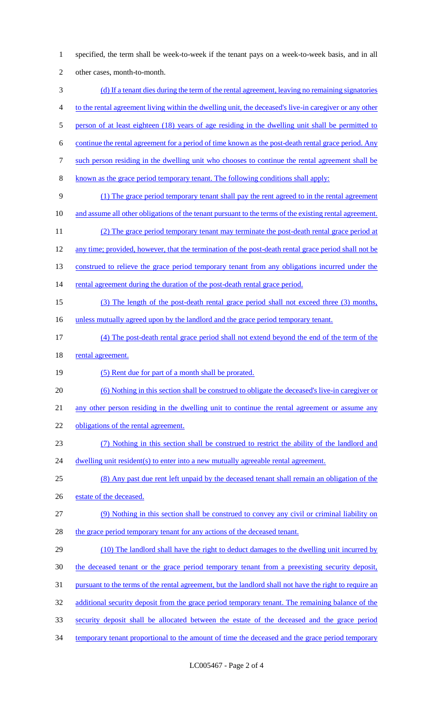specified, the term shall be week-to-week if the tenant pays on a week-to-week basis, and in all other cases, month-to-month. (d) If a tenant dies during the term of the rental agreement, leaving no remaining signatories to the rental agreement living within the dwelling unit, the deceased's live-in caregiver or any other 5 person of at least eighteen (18) years of age residing in the dwelling unit shall be permitted to continue the rental agreement for a period of time known as the post-death rental grace period. Any such person residing in the dwelling unit who chooses to continue the rental agreement shall be known as the grace period temporary tenant. The following conditions shall apply: (1) The grace period temporary tenant shall pay the rent agreed to in the rental agreement 10 and assume all other obligations of the tenant pursuant to the terms of the existing rental agreement. (2) The grace period temporary tenant may terminate the post-death rental grace period at any time; provided, however, that the termination of the post-death rental grace period shall not be 13 construed to relieve the grace period temporary tenant from any obligations incurred under the 14 rental agreement during the duration of the post-death rental grace period. (3) The length of the post-death rental grace period shall not exceed three (3) months, 16 unless mutually agreed upon by the landlord and the grace period temporary tenant. (4) The post-death rental grace period shall not extend beyond the end of the term of the 18 rental agreement. (5) Rent due for part of a month shall be prorated. (6) Nothing in this section shall be construed to obligate the deceased's live-in caregiver or any other person residing in the dwelling unit to continue the rental agreement or assume any 22 obligations of the rental agreement. (7) Nothing in this section shall be construed to restrict the ability of the landlord and 24 dwelling unit resident(s) to enter into a new mutually agreeable rental agreement. (8) Any past due rent left unpaid by the deceased tenant shall remain an obligation of the 26 estate of the deceased. (9) Nothing in this section shall be construed to convey any civil or criminal liability on 28 the grace period temporary tenant for any actions of the deceased tenant. (10) The landlord shall have the right to deduct damages to the dwelling unit incurred by 30 the deceased tenant or the grace period temporary tenant from a preexisting security deposit, pursuant to the terms of the rental agreement, but the landlord shall not have the right to require an 32 additional security deposit from the grace period temporary tenant. The remaining balance of the security deposit shall be allocated between the estate of the deceased and the grace period 34 temporary tenant proportional to the amount of time the deceased and the grace period temporary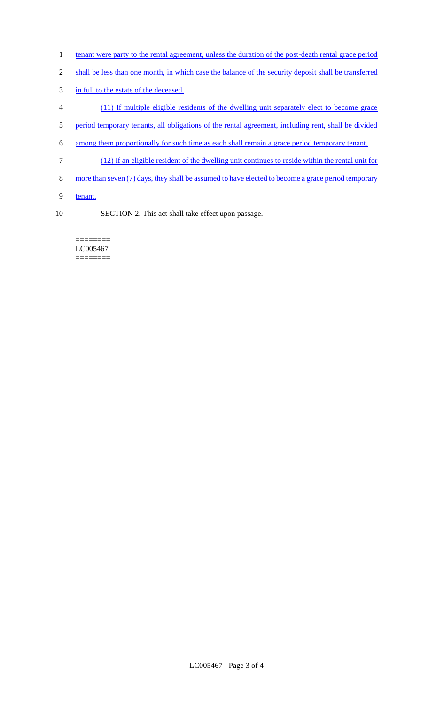- 1 tenant were party to the rental agreement, unless the duration of the post-death rental grace period
- 2 shall be less than one month, in which case the balance of the security deposit shall be transferred
- 3 in full to the estate of the deceased.
- 4 (11) If multiple eligible residents of the dwelling unit separately elect to become grace
- 5 period temporary tenants, all obligations of the rental agreement, including rent, shall be divided
- 6 among them proportionally for such time as each shall remain a grace period temporary tenant.
- 7 (12) If an eligible resident of the dwelling unit continues to reside within the rental unit for
- 8 more than seven (7) days, they shall be assumed to have elected to become a grace period temporary
- 9 tenant.
- 10 SECTION 2. This act shall take effect upon passage.

======== LC005467 ========